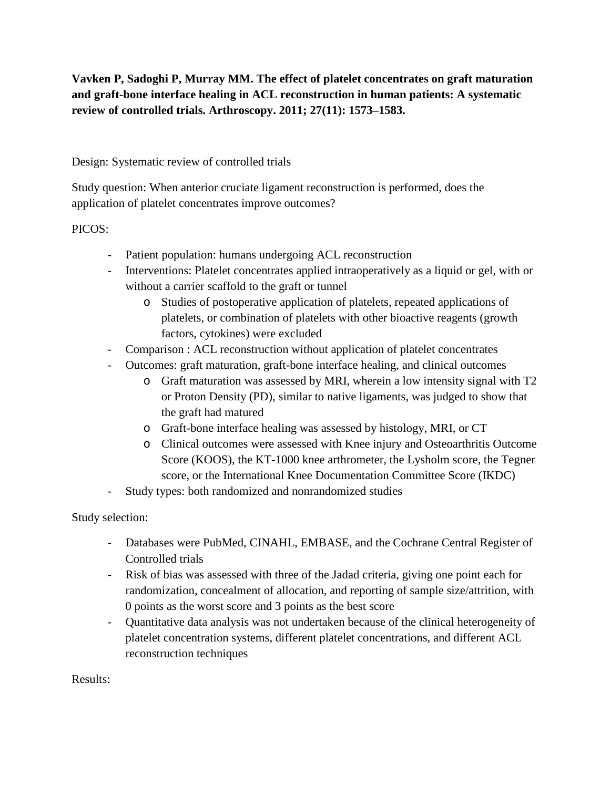**Vavken P, Sadoghi P, Murray MM. The effect of platelet concentrates on graft maturation and graft-bone interface healing in ACL reconstruction in human patients: A systematic review of controlled trials. Arthroscopy. 2011; 27(11): 1573–1583.**

Design: Systematic review of controlled trials

Study question: When anterior cruciate ligament reconstruction is performed, does the application of platelet concentrates improve outcomes?

PICOS:

- Patient population: humans undergoing ACL reconstruction
- Interventions: Platelet concentrates applied intraoperatively as a liquid or gel, with or without a carrier scaffold to the graft or tunnel
	- o Studies of postoperative application of platelets, repeated applications of platelets, or combination of platelets with other bioactive reagents (growth factors, cytokines) were excluded
- Comparison : ACL reconstruction without application of platelet concentrates
- Outcomes: graft maturation, graft-bone interface healing, and clinical outcomes
	- o Graft maturation was assessed by MRI, wherein a low intensity signal with T2 or Proton Density (PD), similar to native ligaments, was judged to show that the graft had matured
	- o Graft-bone interface healing was assessed by histology, MRI, or CT
	- o Clinical outcomes were assessed with Knee injury and Osteoarthritis Outcome Score (KOOS), the KT-1000 knee arthrometer, the Lysholm score, the Tegner score, or the International Knee Documentation Committee Score (IKDC)
- Study types: both randomized and nonrandomized studies

Study selection:

- Databases were PubMed, CINAHL, EMBASE, and the Cochrane Central Register of Controlled trials
- Risk of bias was assessed with three of the Jadad criteria, giving one point each for randomization, concealment of allocation, and reporting of sample size/attrition, with 0 points as the worst score and 3 points as the best score
- Quantitative data analysis was not undertaken because of the clinical heterogeneity of platelet concentration systems, different platelet concentrations, and different ACL reconstruction techniques

Results: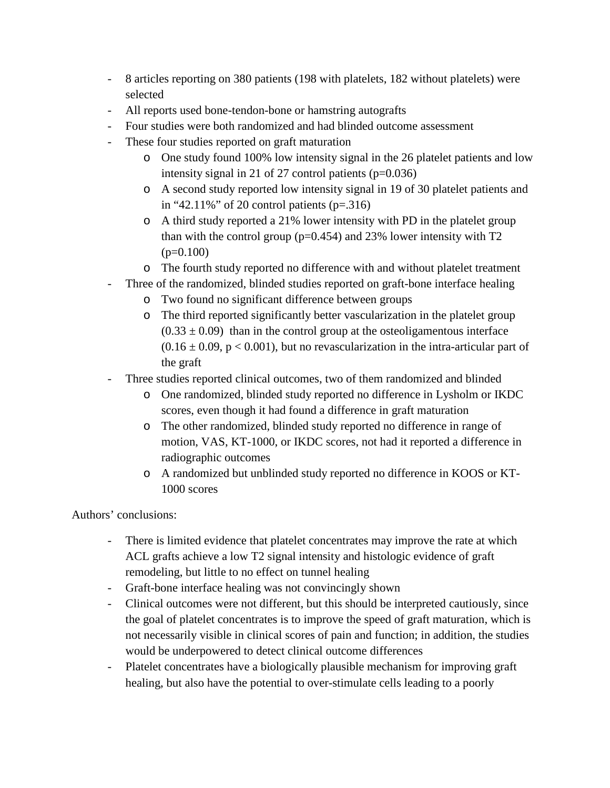- 8 articles reporting on 380 patients (198 with platelets, 182 without platelets) were selected
- All reports used bone-tendon-bone or hamstring autografts
- Four studies were both randomized and had blinded outcome assessment
- These four studies reported on graft maturation
	- o One study found 100% low intensity signal in the 26 platelet patients and low intensity signal in 21 of 27 control patients  $(p=0.036)$
	- o A second study reported low intensity signal in 19 of 30 platelet patients and in "42.11%" of 20 control patients  $(p=.316)$
	- o A third study reported a 21% lower intensity with PD in the platelet group than with the control group ( $p=0.454$ ) and 23% lower intensity with T2  $(p=0.100)$
	- o The fourth study reported no difference with and without platelet treatment
- Three of the randomized, blinded studies reported on graft-bone interface healing
	- o Two found no significant difference between groups
	- o The third reported significantly better vascularization in the platelet group  $(0.33 \pm 0.09)$  than in the control group at the osteoligamentous interface  $(0.16 \pm 0.09, p < 0.001)$ , but no revascularization in the intra-articular part of the graft
- Three studies reported clinical outcomes, two of them randomized and blinded
	- o One randomized, blinded study reported no difference in Lysholm or IKDC scores, even though it had found a difference in graft maturation
	- o The other randomized, blinded study reported no difference in range of motion, VAS, KT-1000, or IKDC scores, not had it reported a difference in radiographic outcomes
	- o A randomized but unblinded study reported no difference in KOOS or KT-1000 scores

Authors' conclusions:

- There is limited evidence that platelet concentrates may improve the rate at which ACL grafts achieve a low T2 signal intensity and histologic evidence of graft remodeling, but little to no effect on tunnel healing
- Graft-bone interface healing was not convincingly shown
- Clinical outcomes were not different, but this should be interpreted cautiously, since the goal of platelet concentrates is to improve the speed of graft maturation, which is not necessarily visible in clinical scores of pain and function; in addition, the studies would be underpowered to detect clinical outcome differences
- Platelet concentrates have a biologically plausible mechanism for improving graft healing, but also have the potential to over-stimulate cells leading to a poorly